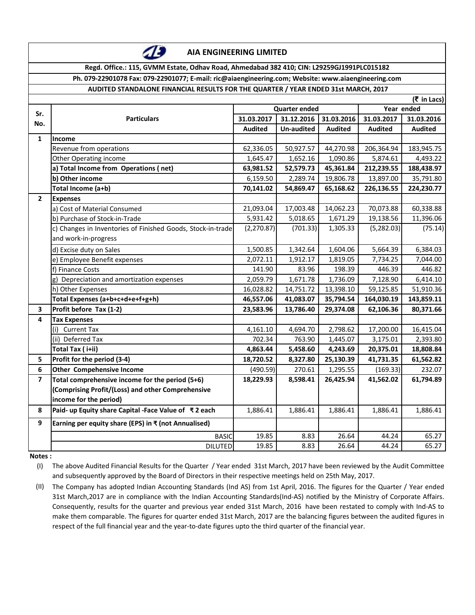| ٠<br>٠<br>ż,<br>$\sim$<br>٠<br>ı<br>٠<br>۰ |  |
|--------------------------------------------|--|
|                                            |  |
| ì<br>×                                     |  |
| i.                                         |  |

**AIA ENGINEERING LIMITED**

**Regd. Office.: 115, GVMM Estate, Odhav Road, Ahmedabad 382 410; CIN: L29259GJ1991PLC015182**

## **Ph. 079-22901078 Fax: 079-22901077; E-mail: ric@aiaengineering.com; Website: www.aiaengineering.com**

## **AUDITED STANDALONE FINANCIAL RESULTS FOR THE QUARTER / YEAR ENDED 31st MARCH, 2017**

|                | (₹ in Lacs)                                                 |                      |                   |                |                |                |
|----------------|-------------------------------------------------------------|----------------------|-------------------|----------------|----------------|----------------|
| Sr.            |                                                             | <b>Quarter ended</b> |                   |                | Year ended     |                |
| No.            | <b>Particulars</b>                                          | 31.03.2017           | 31.12.2016        | 31.03.2016     | 31.03.2017     | 31.03.2016     |
|                |                                                             | <b>Audited</b>       | <b>Un-audited</b> | <b>Audited</b> | <b>Audited</b> | <b>Audited</b> |
| $\mathbf{1}$   | Income                                                      |                      |                   |                |                |                |
|                | Revenue from operations                                     | 62,336.05            | 50,927.57         | 44,270.98      | 206,364.94     | 183,945.75     |
|                | Other Operating income                                      | 1,645.47             | 1,652.16          | 1,090.86       | 5,874.61       | 4,493.22       |
|                | a) Total Income from Operations (net)                       | 63,981.52            | 52,579.73         | 45,361.84      | 212,239.55     | 188,438.97     |
|                | b) Other income                                             | 6,159.50             | 2,289.74          | 19,806.78      | 13,897.00      | 35,791.80      |
|                | Total Income (a+b)                                          | 70,141.02            | 54,869.47         | 65,168.62      | 226,136.55     | 224,230.77     |
| $\overline{2}$ | <b>Expenses</b>                                             |                      |                   |                |                |                |
|                | a) Cost of Material Consumed                                | 21,093.04            | 17,003.48         | 14,062.23      | 70,073.88      | 60,338.88      |
|                | b) Purchase of Stock-in-Trade                               | 5,931.42             | 5,018.65          | 1,671.29       | 19,138.56      | 11,396.06      |
|                | c) Changes in Inventories of Finished Goods, Stock-in-trade | (2,270.87)           | (701.33)          | 1,305.33       | (5,282.03)     | (75.14)        |
|                | and work-in-progress                                        |                      |                   |                |                |                |
|                | d) Excise duty on Sales                                     | 1,500.85             | 1,342.64          | 1,604.06       | 5,664.39       | 6,384.03       |
|                | e) Employee Benefit expenses                                | 2,072.11             | 1,912.17          | 1,819.05       | 7,734.25       | 7,044.00       |
|                | f) Finance Costs                                            | 141.90               | 83.96             | 198.39         | 446.39         | 446.82         |
|                | Depreciation and amortization expenses                      | 2,059.79             | 1,671.78          | 1,736.09       | 7,128.90       | 6,414.10       |
|                | h) Other Expenses                                           | 16,028.82            | 14,751.72         | 13,398.10      | 59,125.85      | 51,910.36      |
|                | Total Expenses (a+b+c+d+e+f+g+h)                            | 46,557.06            | 41,083.07         | 35,794.54      | 164,030.19     | 143,859.11     |
| 3              | Profit before Tax (1-2)                                     | 23,583.96            | 13,786.40         | 29,374.08      | 62,106.36      | 80,371.66      |
| 4              | <b>Tax Expenses</b>                                         |                      |                   |                |                |                |
|                | <b>Current Tax</b>                                          | 4,161.10             | 4,694.70          | 2,798.62       | 17,200.00      | 16,415.04      |
|                | (ii) Deferred Tax                                           | 702.34               | 763.90            | 1,445.07       | 3,175.01       | 2,393.80       |
|                | Total Tax (i+ii)                                            | 4,863.44             | 5,458.60          | 4,243.69       | 20,375.01      | 18,808.84      |
| 5              | Profit for the period (3-4)                                 | 18,720.52            | 8,327.80          | 25,130.39      | 41,731.35      | 61,562.82      |
| 6              | <b>Other Compehensive Income</b>                            | (490.59)             | 270.61            | 1,295.55       | (169.33)       | 232.07         |
| $\overline{7}$ | Total comprehensive income for the period (5+6)             | 18,229.93            | 8,598.41          | 26,425.94      | 41,562.02      | 61,794.89      |
|                | (Comprising Profit/(Loss) and other Comprehensive           |                      |                   |                |                |                |
|                | income for the period)                                      |                      |                   |                |                |                |
| 8              | Paid- up Equity share Capital -Face Value of ₹2 each        | 1,886.41             | 1,886.41          | 1,886.41       | 1,886.41       | 1,886.41       |
| 9              | Earning per equity share (EPS) in ₹ (not Annualised)        |                      |                   |                |                |                |
|                | <b>BASIC</b>                                                | 19.85                | 8.83              | 26.64          | 44.24          | 65.27          |
|                | <b>DILUTED</b>                                              | 19.85                | 8.83              | 26.64          | 44.24          | 65.27          |

**Notes :**

(I) The above Audited Financial Results for the Quarter / Year ended 31st March, 2017 have been reviewed by the Audit Committee and subsequently approved by the Board of Directors in their respective meetings held on 25th May, 2017.

(II) The Company has adopted Indian Accounting Standards (Ind AS) from 1st April, 2016. The figures for the Quarter / Year ended 31st March,2017 are in compliance with the Indian Accounting Standards(Ind-AS) notified by the Ministry of Corporate Affairs. Consequently, results for the quarter and previous year ended 31st March, 2016 have been restated to comply with Ind-AS to make them comparable. The figures for quarter ended 31st March, 2017 are the balancing figures between the audited figures in respect of the full financial year and the year-to-date figures upto the third quarter of the financial year.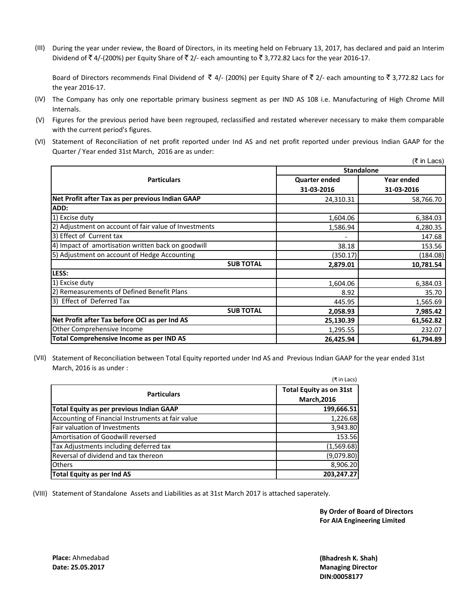(III) During the year under review, the Board of Directors, in its meeting held on February 13, 2017, has declared and paid an Interim Dividend of  $\bar{\tau}$  4/-(200%) per Equity Share of  $\bar{\tau}$  2/- each amounting to  $\bar{\tau}$  3,772.82 Lacs for the year 2016-17.

Board of Directors recommends Final Dividend of  $\bar{\tau}$  4/- (200%) per Equity Share of  $\bar{\tau}$  2/- each amounting to  $\bar{\tau}$  3,772.82 Lacs for the year 2016-17.

- (IV) The Company has only one reportable primary business segment as per IND AS 108 i.e. Manufacturing of High Chrome Mill Internals.
- (V) Figures for the previous period have been regrouped, reclassified and restated wherever necessary to make them comparable with the current period's figures.
- (VI) Statement of Reconciliation of net profit reported under Ind AS and net profit reported under previous Indian GAAP for the Quarter / Year ended 31st March, 2016 are as under:

|                                                       |                      | (₹ in Lacs) |  |
|-------------------------------------------------------|----------------------|-------------|--|
|                                                       | <b>Standalone</b>    |             |  |
| <b>Particulars</b>                                    | <b>Quarter ended</b> | Year ended  |  |
|                                                       | 31-03-2016           | 31-03-2016  |  |
| Net Profit after Tax as per previous Indian GAAP      | 24,310.31            | 58,766.70   |  |
| ADD:                                                  |                      |             |  |
| 1) Excise duty                                        | 1,604.06             | 6,384.03    |  |
| 2) Adjustment on account of fair value of Investments | 1,586.94             | 4,280.35    |  |
| 3) Effect of Current tax                              |                      | 147.68      |  |
| 4) Impact of amortisation written back on goodwill    | 38.18                | 153.56      |  |
| 5) Adjustment on account of Hedge Accounting          | (350.17)             | (184.08)    |  |
| <b>SUB TOTAL</b>                                      | 2,879.01             | 10,781.54   |  |
| LESS:                                                 |                      |             |  |
| 1) Excise duty                                        | 1,604.06             | 6,384.03    |  |
| 2) Remeasurements of Defined Benefit Plans            | 8.92                 | 35.70       |  |
| 3) Effect of Deferred Tax                             | 445.95               | 1,565.69    |  |
| <b>SUB TOTAL</b>                                      | 2,058.93             | 7,985.42    |  |
| Net Profit after Tax before OCI as per Ind AS         | 25,130.39            | 61,562.82   |  |
| Other Comprehensive Income                            | 1,295.55             | 232.07      |  |
| Total Comprehensive Income as per IND AS              | 26,425.94            | 61,794.89   |  |

(VII) Statement of Reconciliation between Total Equity reported under Ind AS and Previous Indian GAAP for the year ended 31st March, 2016 is as under :

|                                                   | (₹ in Lacs)                    |
|---------------------------------------------------|--------------------------------|
| <b>Particulars</b>                                | <b>Total Equity as on 31st</b> |
|                                                   | <b>March, 2016</b>             |
| Total Equity as per previous Indian GAAP          | 199,666.51                     |
| Accounting of Financial Instruments at fair value | 1,226.68                       |
| Fair valuation of Investments                     | 3,943.80                       |
| Amortisation of Goodwill reversed                 | 153.56                         |
| Tax Adjustments including deferred tax            | (1,569.68)                     |
| Reversal of dividend and tax thereon              | (9,079.80)                     |
| <b>Others</b>                                     | 8,906.20                       |
| Total Equity as per Ind AS                        | 203,247.27                     |

(VIII) Statement of Standalone Assets and Liabilities as at 31st March 2017 is attached saperately.

**By Order of Board of Directors For AIA Engineering Limited**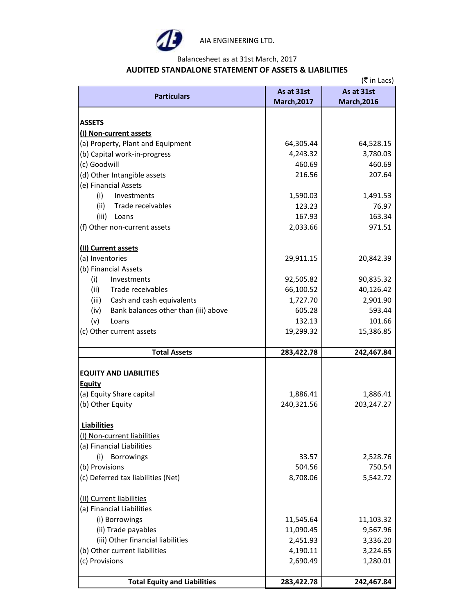

AIA ENGINEERING LTD.

Balancesheet as at 31st March, 2017

# **AUDITED STANDALONE STATEMENT OF ASSETS & LIABILITIES**

|                                              | (₹ in Lacs)        |                    |  |  |  |
|----------------------------------------------|--------------------|--------------------|--|--|--|
| <b>Particulars</b>                           | As at 31st         | As at 31st         |  |  |  |
|                                              | <b>March, 2017</b> | <b>March, 2016</b> |  |  |  |
|                                              |                    |                    |  |  |  |
| <b>ASSETS</b>                                |                    |                    |  |  |  |
| (I) Non-current assets                       |                    |                    |  |  |  |
| (a) Property, Plant and Equipment            | 64,305.44          | 64,528.15          |  |  |  |
| (b) Capital work-in-progress                 | 4,243.32           | 3,780.03           |  |  |  |
| (c) Goodwill                                 | 460.69             | 460.69             |  |  |  |
| (d) Other Intangible assets                  | 216.56             | 207.64             |  |  |  |
| (e) Financial Assets                         |                    |                    |  |  |  |
| (i)<br>Investments                           | 1,590.03           | 1,491.53           |  |  |  |
| Trade receivables<br>(ii)                    | 123.23             | 76.97              |  |  |  |
| (iii)<br>Loans                               | 167.93             | 163.34             |  |  |  |
| (f) Other non-current assets                 | 2,033.66           | 971.51             |  |  |  |
| (II) Current assets                          |                    |                    |  |  |  |
| (a) Inventories                              | 29,911.15          | 20,842.39          |  |  |  |
| (b) Financial Assets                         |                    |                    |  |  |  |
| (i)<br>Investments                           | 92,505.82          | 90,835.32          |  |  |  |
| Trade receivables                            | 66,100.52          | 40,126.42          |  |  |  |
| (ii)                                         |                    | 2,901.90           |  |  |  |
| Cash and cash equivalents<br>(iii)           | 1,727.70           |                    |  |  |  |
| Bank balances other than (iii) above<br>(iv) | 605.28             | 593.44             |  |  |  |
| (v)<br>Loans                                 | 132.13             | 101.66             |  |  |  |
| (c) Other current assets                     | 19,299.32          | 15,386.85          |  |  |  |
| <b>Total Assets</b>                          | 283,422.78         | 242,467.84         |  |  |  |
|                                              |                    |                    |  |  |  |
| <b>EQUITY AND LIABILITIES</b>                |                    |                    |  |  |  |
| <b>Equity</b>                                |                    |                    |  |  |  |
| (a) Equity Share capital                     | 1,886.41           | 1,886.41           |  |  |  |
| (b) Other Equity                             | 240,321.56         | 203,247.27         |  |  |  |
| <b>Liabilities</b>                           |                    |                    |  |  |  |
| (I) Non-current liabilities                  |                    |                    |  |  |  |
| (a) Financial Liabilities                    |                    |                    |  |  |  |
| Borrowings<br>(i)                            | 33.57              | 2,528.76           |  |  |  |
| (b) Provisions                               | 504.56             | 750.54             |  |  |  |
| (c) Deferred tax liabilities (Net)           | 8,708.06           | 5,542.72           |  |  |  |
|                                              |                    |                    |  |  |  |
| (II) Current liabilities                     |                    |                    |  |  |  |
| (a) Financial Liabilities                    |                    |                    |  |  |  |
| (i) Borrowings                               | 11,545.64          | 11,103.32          |  |  |  |
| (ii) Trade payables                          | 11,090.45          | 9,567.96           |  |  |  |
| (iii) Other financial liabilities            | 2,451.93           | 3,336.20           |  |  |  |
| (b) Other current liabilities                | 4,190.11           | 3,224.65           |  |  |  |
| (c) Provisions                               | 2,690.49           | 1,280.01           |  |  |  |
| <b>Total Equity and Liabilities</b>          | 283,422.78         | 242,467.84         |  |  |  |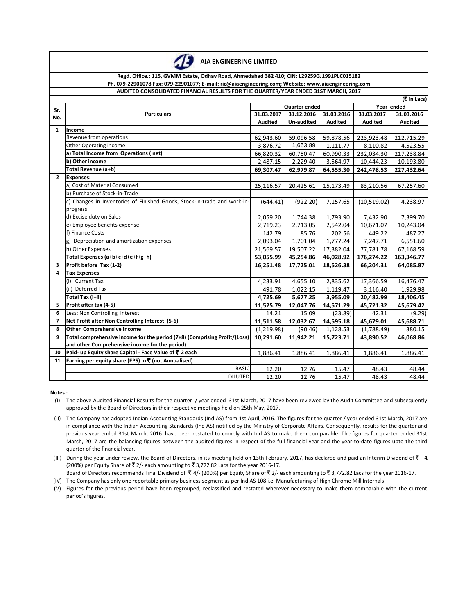

### **Regd. Office.: 115, GVMM Estate, Odhav Road, Ahmedabad 382 410; CIN: L29259GJ1991PLC015182 Ph. 079-22901078 Fax: 079-22901077; E-mail: ric@aiaengineering.com; Website: www.aiaengineering.com AUDITED CONSOLIDATED FINANCIAL RESULTS FOR THE QUARTER/YEAR ENDED 31ST MARCH, 2017**

|                | (₹ in Lacs)                                                               |                      |            |            |             |                |
|----------------|---------------------------------------------------------------------------|----------------------|------------|------------|-------------|----------------|
| Sr.            |                                                                           | <b>Quarter ended</b> |            |            | Year ended  |                |
| No.            | <b>Particulars</b>                                                        | 31.03.2017           | 31.12.2016 | 31.03.2016 | 31.03.2017  | 31.03.2016     |
|                |                                                                           | <b>Audited</b>       | Un-audited | Audited    | Audited     | <b>Audited</b> |
| $\mathbf{1}$   | Income                                                                    |                      |            |            |             |                |
|                | Revenue from operations                                                   | 62,943.60            | 59,096.58  | 59,878.56  | 223,923.48  | 212,715.29     |
|                | Other Operating income                                                    | 3,876.72             | 1,653.89   | 1,111.77   | 8,110.82    | 4,523.55       |
|                | a) Total Income from Operations (net)                                     | 66,820.32            | 60,750.47  | 60,990.33  | 232,034.30  | 217,238.84     |
|                | b) Other income                                                           | 2,487.15             | 2,229.40   | 3,564.97   | 10,444.23   | 10,193.80      |
|                | Total Revenue (a+b)                                                       | 69,307.47            | 62,979.87  | 64,555.30  | 242,478.53  | 227,432.64     |
| $\overline{2}$ | <b>Expenses:</b>                                                          |                      |            |            |             |                |
|                | a) Cost of Material Consumed                                              | 25,116.57            | 20,425.61  | 15,173.49  | 83,210.56   | 67,257.60      |
|                | b) Purchase of Stock-in-Trade                                             |                      |            |            |             |                |
|                | c) Changes in Inventories of Finished Goods, Stock-in-trade and work-in-  | (644.41)             | (922.20)   | 7,157.65   | (10,519.02) | 4,238.97       |
|                | progress                                                                  |                      |            |            |             |                |
|                | d) Excise duty on Sales                                                   | 2,059.20             | 1,744.38   | 1,793.90   | 7,432.90    | 7,399.70       |
|                | e) Employee benefits expense                                              | 2,719.23             | 2,713.05   | 2,542.04   | 10,671.07   | 10,243.04      |
|                | f) Finance Costs                                                          | 142.79               | 85.76      | 202.56     | 449.22      | 487.27         |
|                | g) Depreciation and amortization expenses                                 | 2,093.04             | 1,701.04   | 1,777.24   | 7,247.71    | 6,551.60       |
|                | h) Other Expenses                                                         | 21,569.57            | 19,507.22  | 17,382.04  | 77,781.78   | 67,168.59      |
|                | Total Expenses (a+b+c+d+e+f+g+h)                                          | 53,055.99            | 45,254.86  | 46,028.92  | 176,274.22  | 163,346.77     |
| 3              | Profit before Tax (1-2)                                                   | 16,251.48            | 17,725.01  | 18,526.38  | 66,204.31   | 64,085.87      |
| 4              | <b>Tax Expenses</b>                                                       |                      |            |            |             |                |
|                | (i) Current Tax                                                           | 4,233.91             | 4,655.10   | 2,835.62   | 17,366.59   | 16,476.47      |
|                | (ii) Deferred Tax                                                         | 491.78               | 1,022.15   | 1,119.47   | 3,116.40    | 1,929.98       |
|                | Total Tax (i+ii)                                                          | 4,725.69             | 5,677.25   | 3,955.09   | 20,482.99   | 18,406.45      |
| 5              | Profit after tax (4-5)                                                    | 11,525.79            | 12,047.76  | 14,571.29  | 45,721.32   | 45,679.42      |
| 6              | Less: Non Controlling Interest                                            | 14.21                | 15.09      | (23.89)    | 42.31       | (9.29)         |
| $\overline{7}$ | Net Profit after Non Controlling Interest (5-6)                           | 11,511.58            | 12,032.67  | 14,595.18  | 45,679.01   | 45,688.71      |
| 8              | <b>Other Comprehensive Income</b>                                         | (1, 219.98)          | (90.46)    | 1,128.53   | (1,788.49)  | 380.15         |
| 9              | Total comprehensive income for the period (7+8) (Comprising Profit/(Loss) | 10,291.60            | 11,942.21  | 15,723.71  | 43,890.52   | 46,068.86      |
|                | and other Comprehensive income for the period)                            |                      |            |            |             |                |
| 10             | Paid- up Equity share Capital - Face Value of ₹ 2 each                    | 1,886.41             | 1,886.41   | 1,886.41   | 1,886.41    | 1,886.41       |
| 11             | Earning per equity share (EPS) in ₹ (not Annualised)                      |                      |            |            |             |                |
|                | <b>BASIC</b>                                                              | 12.20                | 12.76      | 15.47      | 48.43       | 48.44          |
|                | <b>DILUTED</b>                                                            | 12.20                | 12.76      | 15.47      | 48.43       | 48.44          |

#### **Notes :**

(I) The above Audited Financial Results for the quarter / year ended 31st March, 2017 have been reviewed by the Audit Committee and subsequently approved by the Board of Directors in their respective meetings held on 25th May, 2017.

- (II) The Company has adopted Indian Accounting Standards (Ind AS) from 1st April, 2016. The figures for the quarter / year ended 31st March, 2017 are in compliance with the Indian Accounting Standards (Ind AS) notified by the Ministry of Corporate Affairs. Consequently, results for the quarter and previous year ended 31st March, 2016 have been restated to comply with Ind AS to make them comparable. The figures for quarter ended 31st March, 2017 are the balancing figures between the audited figures in respect of the full financial year and the year-to-date figures upto the third quarter of the financial year.
- (III) During the year under review, the Board of Directors, in its meeting held on 13th February, 2017, has declared and paid an Interim Dividend of  $\bar{\tau}$  4, (200%) per Equity Share of  $\bar{\tau}$  2/- each amounting to  $\bar{\tau}$  3,772.82 Lacs for the year 2016-17.
- (IV) The Company has only one reportable primary business segment as per Ind AS 108 i.e. Manufacturing of High Chrome Mill Internals. Board of Directors recommends Final Dividend of  $\bar{\tau}$  4/- (200%) per Equity Share of  $\bar{\tau}$  2/- each amounting to  $\bar{\tau}$  3,772.82 Lacs for the year 2016-17.
- (V) Figures for the previous period have been regrouped, reclassified and restated wherever necessary to make them comparable with the current period's figures.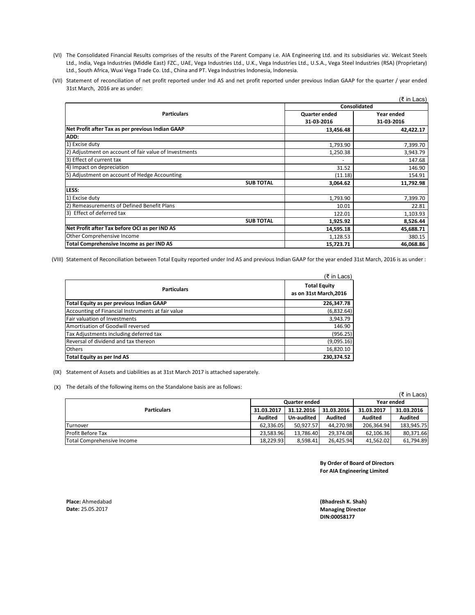- (VI) The Consolidated Financial Results comprises of the results of the Parent Company i.e. AIA Engineering Ltd. and its subsidiaries viz. Welcast Steels Ltd., India, Vega Industries (Middle East) FZC., UAE, Vega Industries Ltd., U.K., Vega Industries Ltd., U.S.A., Vega Steel Industries (RSA) (Proprietary) Ltd., South Africa, Wuxi Vega Trade Co. Ltd., China and PT. Vega Industries Indonesia, Indonesia.
- (VII) Statement of reconciliation of net profit reported under Ind AS and net profit reported under previous Indian GAAP for the quarter / year ended 31st March, 2016 are as under:

|                                                       |               | (₹ in Lacs) |  |
|-------------------------------------------------------|---------------|-------------|--|
|                                                       | Consolidated  |             |  |
| <b>Particulars</b>                                    | Quarter ended | Year ended  |  |
|                                                       | 31-03-2016    | 31-03-2016  |  |
| Net Profit after Tax as per previous Indian GAAP      | 13,456.48     | 42,422.17   |  |
| ADD:                                                  |               |             |  |
| 1) Excise duty                                        | 1,793.90      | 7,399.70    |  |
| 2) Adjustment on account of fair value of Investments | 1,250.38      | 3,943.79    |  |
| 3) Effect of current tax                              |               | 147.68      |  |
| 4) Impact on depreciation                             | 31.52         | 146.90      |  |
| 5) Adjustment on account of Hedge Accounting          | (11.18)       | 154.91      |  |
| <b>SUB TOTAL</b>                                      | 3,064.62      | 11,792.98   |  |
| LESS:                                                 |               |             |  |
| 1) Excise duty                                        | 1,793.90      | 7,399.70    |  |
| 2) Remeasurements of Defined Benefit Plans            | 10.01         | 22.81       |  |
| 3) Effect of deferred tax                             | 122.01        | 1,103.93    |  |
| <b>SUB TOTAL</b>                                      | 1,925.92      | 8,526.44    |  |
| Net Profit after Tax before OCI as per IND AS         | 14,595.18     | 45,688.71   |  |
| Other Comprehensive Income                            | 1,128.53      | 380.15      |  |
| Total Comprehensive Income as per IND AS              | 15,723.71     | 46,068.86   |  |

(VIII) Statement of Reconciliation between Total Equity reported under Ind AS and previous Indian GAAP for the year ended 31st March, 2016 is as under :

|                                                   | (₹ in Lacs)                                   |
|---------------------------------------------------|-----------------------------------------------|
| <b>Particulars</b>                                | <b>Total Equity</b><br>as on 31st March, 2016 |
| Total Equity as per previous Indian GAAP          | 226,347.78                                    |
| Accounting of Financial Instruments at fair value | (6,832.64)                                    |
| Fair valuation of Investments                     | 3,943.79                                      |
| Amortisation of Goodwill reversed                 | 146.90                                        |
| Tax Adjustments including deferred tax            | (956.25)                                      |
| Reversal of dividend and tax thereon              | (9,095.16)                                    |
| <b>Others</b>                                     | 16,820.10                                     |
| Total Equity as per Ind AS                        | 230.374.52                                    |

(IX) Statement of Assets and Liabilities as at 31st March 2017 is attached saperately.

(X) The details of the following items on the Standalone basis are as follows:

| (₹ in Lacs)                |                |                      |                |                |            |  |
|----------------------------|----------------|----------------------|----------------|----------------|------------|--|
|                            |                | <b>Quarter ended</b> |                |                | Year ended |  |
| <b>Particulars</b>         | 31.03.2017     | 31.12.2016           | 31.03.2016     | 31.03.2017     | 31.03.2016 |  |
|                            | <b>Audited</b> | Un-audited           | <b>Audited</b> | <b>Audited</b> | Audited    |  |
| Turnover                   | 62.336.05      | 50.927.57            | 44.270.98      | 206.364.94     | 183,945.75 |  |
| <b>Profit Before Tax</b>   | 23.583.96      | 13.786.40            | 29.374.08      | 62.106.36      | 80,371.66  |  |
| Total Comprehensive Income | 18,229.93      | 8,598.41             | 26.425.94      | 41,562.02      | 61,794.89  |  |

**By Order of Board of Directors For AIA Engineering Limited**

**Place:** Ahmedabad **Date:** 25.05.2017

**DIN:00058177 (Bhadresh K. Shah) Managing Director**